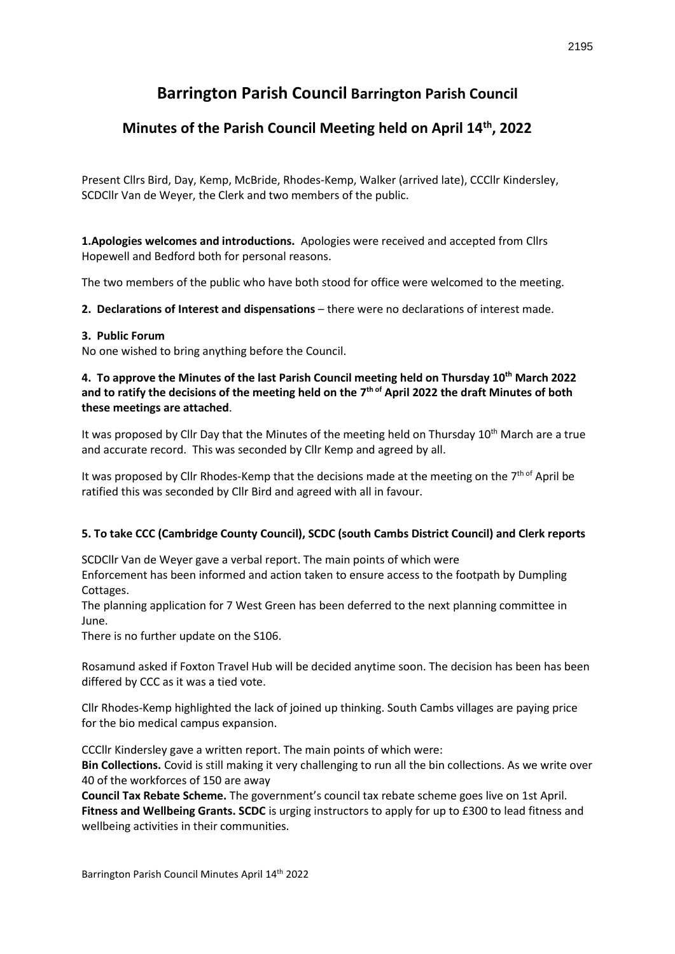# **Barrington Parish Council Barrington Parish Council**

## **Minutes of the Parish Council Meeting held on April 14th, 2022**

Present Cllrs Bird, Day, Kemp, McBride, Rhodes-Kemp, Walker (arrived late), CCCllr Kindersley, SCDCllr Van de Weyer, the Clerk and two members of the public.

**1.Apologies welcomes and introductions.** Apologies were received and accepted from Cllrs Hopewell and Bedford both for personal reasons.

The two members of the public who have both stood for office were welcomed to the meeting.

2. Declarations of Interest and dispensations - there were no declarations of interest made.

## **3. Public Forum**

No one wished to bring anything before the Council.

## **4. To approve the Minutes of the last Parish Council meeting held on Thursday 10th March 2022**  and to ratify the decisions of the meeting held on the 7<sup>th of</sup> April 2022 the draft Minutes of both **these meetings are attached**.

It was proposed by Cllr Day that the Minutes of the meeting held on Thursday 10<sup>th</sup> March are a true and accurate record. This was seconded by Cllr Kemp and agreed by all.

It was proposed by Cllr Rhodes-Kemp that the decisions made at the meeting on the 7<sup>th of</sup> April be ratified this was seconded by Cllr Bird and agreed with all in favour.

## **5. To take CCC (Cambridge County Council), SCDC (south Cambs District Council) and Clerk reports**

SCDCllr Van de Weyer gave a verbal report. The main points of which were Enforcement has been informed and action taken to ensure access to the footpath by Dumpling Cottages.

The planning application for 7 West Green has been deferred to the next planning committee in June.

There is no further update on the S106.

Rosamund asked if Foxton Travel Hub will be decided anytime soon. The decision has been has been differed by CCC as it was a tied vote.

Cllr Rhodes-Kemp highlighted the lack of joined up thinking. South Cambs villages are paying price for the bio medical campus expansion.

CCCllr Kindersley gave a written report. The main points of which were:

**Bin Collections.** Covid is still making it very challenging to run all the bin collections. As we write over 40 of the workforces of 150 are away

**Council Tax Rebate Scheme.** The government's council tax rebate scheme goes live on 1st April. **Fitness and Wellbeing Grants. SCDC** is urging instructors to apply for up to £300 to lead fitness and wellbeing activities in their communities.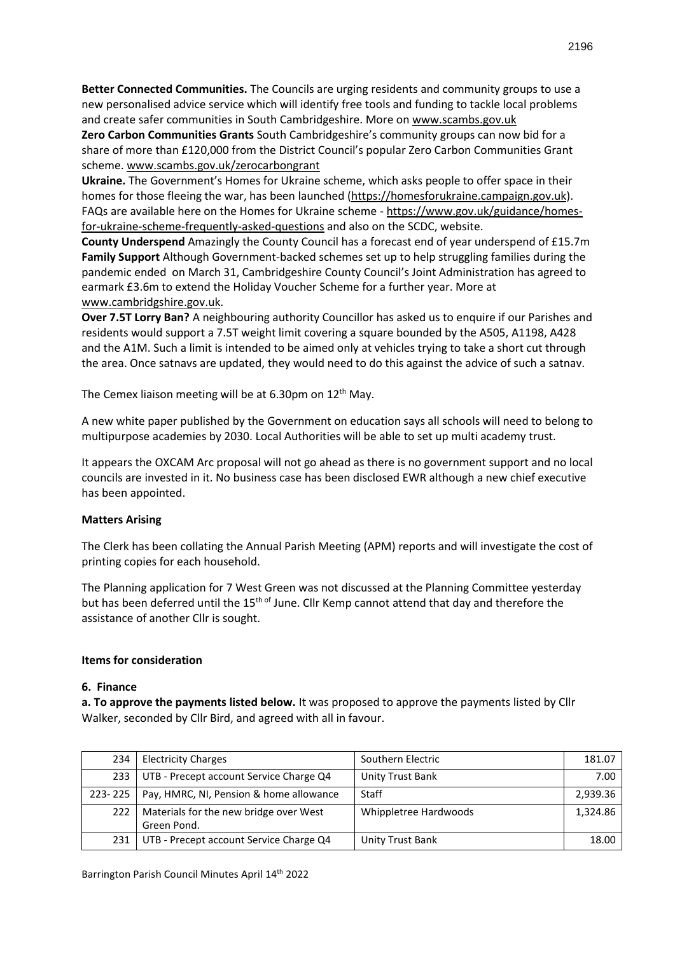**Better Connected Communities.** The Councils are urging residents and community groups to use a new personalised advice service which will identify free tools and funding to tackle local problems and create safer communities in South Cambridgeshire. More o[n www.scambs.gov.uk](http://www.scambs.gov.uk/)

**Zero Carbon Communities Grants** South Cambridgeshire's community groups can now bid for a share of more than £120,000 from the District Council's popular Zero Carbon Communities Grant scheme[. www.scambs.gov.uk/zerocarbongrant](http://www.scambs.gov.uk/zerocarbongrant)

**Ukraine.** The Government's Homes for Ukraine scheme, which asks people to offer space in their homes for those fleeing the war, has been launched [\(https://homesforukraine.campaign.gov.uk\)](https://homesforukraine.campaign.gov.uk/). FAQs are available here on the Homes for Ukraine scheme - [https://www.gov.uk/guidance/homes](https://www.gov.uk/guidance/homes-for-ukraine-scheme-frequently-asked-questions)[for-ukraine-scheme-frequently-asked-questions](https://www.gov.uk/guidance/homes-for-ukraine-scheme-frequently-asked-questions) and also on the SCDC, website.

**County Underspend** Amazingly the County Council has a forecast end of year underspend of £15.7m **Family Support** Although Government-backed schemes set up to help struggling families during the pandemic ended on March 31, Cambridgeshire County Council's Joint Administration has agreed to earmark £3.6m to extend the Holiday Voucher Scheme for a further year. More at [www.cambridgshire.gov.uk.](http://www.cambridgshire.gov.uk/)

**Over 7.5T Lorry Ban?** A neighbouring authority Councillor has asked us to enquire if our Parishes and residents would support a 7.5T weight limit covering a square bounded by the A505, A1198, A428 and the A1M. Such a limit is intended to be aimed only at vehicles trying to take a short cut through the area. Once satnavs are updated, they would need to do this against the advice of such a satnav.

The Cemex liaison meeting will be at 6.30pm on  $12<sup>th</sup>$  May.

A new white paper published by the Government on education says all schools will need to belong to multipurpose academies by 2030. Local Authorities will be able to set up multi academy trust.

It appears the OXCAM Arc proposal will not go ahead as there is no government support and no local councils are invested in it. No business case has been disclosed EWR although a new chief executive has been appointed.

## **Matters Arising**

The Clerk has been collating the Annual Parish Meeting (APM) reports and will investigate the cost of printing copies for each household.

The Planning application for 7 West Green was not discussed at the Planning Committee yesterday but has been deferred until the 15<sup>th of</sup> June. Cllr Kemp cannot attend that day and therefore the assistance of another Cllr is sought.

#### **Items for consideration**

#### **6. Finance**

**a. To approve the payments listed below.** It was proposed to approve the payments listed by Cllr Walker, seconded by Cllr Bird, and agreed with all in favour.

| 234     | <b>Electricity Charges</b>                            | Southern Electric     | 181.07   |
|---------|-------------------------------------------------------|-----------------------|----------|
| 233     | UTB - Precept account Service Charge Q4               | Unity Trust Bank      | 7.00     |
| 223-225 | Pay, HMRC, NI, Pension & home allowance               | Staff                 | 2.939.36 |
| 222     | Materials for the new bridge over West<br>Green Pond. | Whippletree Hardwoods | 1.324.86 |
| 231     | UTB - Precept account Service Charge Q4               | Unity Trust Bank      | 18.00    |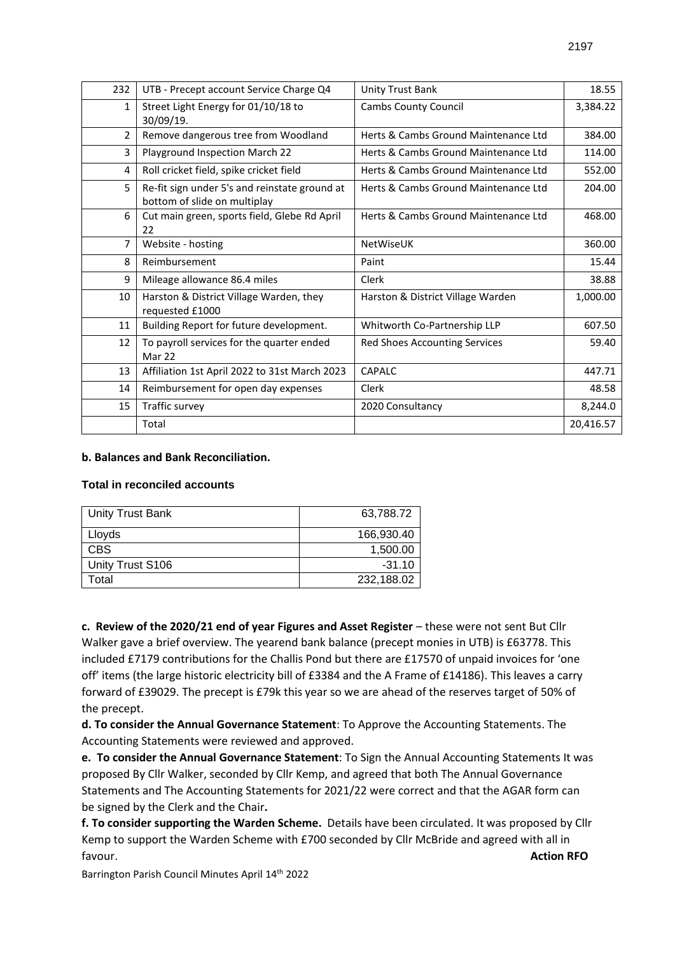| 232            | UTB - Precept account Service Charge Q4                                       | <b>Unity Trust Bank</b>              | 18.55     |
|----------------|-------------------------------------------------------------------------------|--------------------------------------|-----------|
| $\mathbf{1}$   | Street Light Energy for 01/10/18 to<br>30/09/19.                              | <b>Cambs County Council</b>          | 3,384.22  |
| $\overline{2}$ | Remove dangerous tree from Woodland                                           | Herts & Cambs Ground Maintenance Ltd | 384.00    |
| 3              | Playground Inspection March 22                                                | Herts & Cambs Ground Maintenance Ltd | 114.00    |
| $\overline{4}$ | Roll cricket field, spike cricket field                                       | Herts & Cambs Ground Maintenance Ltd | 552.00    |
| 5              | Re-fit sign under 5's and reinstate ground at<br>bottom of slide on multiplay | Herts & Cambs Ground Maintenance Ltd | 204.00    |
| 6              | Cut main green, sports field, Glebe Rd April<br>22                            | Herts & Cambs Ground Maintenance Ltd | 468.00    |
| 7              | Website - hosting                                                             | NetWiseUK                            | 360.00    |
| 8              | Reimbursement                                                                 | Paint                                | 15.44     |
| 9              | Mileage allowance 86.4 miles                                                  | Clerk                                | 38.88     |
| 10             | Harston & District Village Warden, they<br>requested £1000                    | Harston & District Village Warden    | 1,000.00  |
| 11             | Building Report for future development.                                       | Whitworth Co-Partnership LLP         | 607.50    |
| 12             | To payroll services for the quarter ended<br>Mar 22                           | Red Shoes Accounting Services        | 59.40     |
| 13             | Affiliation 1st April 2022 to 31st March 2023                                 | <b>CAPALC</b>                        | 447.71    |
| 14             | Reimbursement for open day expenses                                           | Clerk                                | 48.58     |
| 15             | Traffic survey                                                                | 2020 Consultancy                     | 8,244.0   |
|                | Total                                                                         |                                      | 20,416.57 |

## **b. Balances and Bank Reconciliation.**

## **Total in reconciled accounts**

| Unity Trust Bank | 63,788.72  |
|------------------|------------|
| Lloyds           | 166.930.40 |
| <b>CBS</b>       | 1,500.00   |
| Unity Trust S106 | $-31.10$   |
| Total            | 232,188.02 |

**c. Review of the 2020/21 end of year Figures and Asset Register** – these were not sent But Cllr Walker gave a brief overview. The yearend bank balance (precept monies in UTB) is £63778. This included £7179 contributions for the Challis Pond but there are £17570 of unpaid invoices for 'one off' items (the large historic electricity bill of £3384 and the A Frame of £14186). This leaves a carry forward of £39029. The precept is £79k this year so we are ahead of the reserves target of 50% of the precept.

**d. To consider the Annual Governance Statement**: To Approve the Accounting Statements. The Accounting Statements were reviewed and approved.

**e. To consider the Annual Governance Statement**: To Sign the Annual Accounting Statements It was proposed By Cllr Walker, seconded by Cllr Kemp, and agreed that both The Annual Governance Statements and The Accounting Statements for 2021/22 were correct and that the AGAR form can be signed by the Clerk and the Chair**.** 

**f. To consider supporting the Warden Scheme.** Details have been circulated. It was proposed by Cllr Kemp to support the Warden Scheme with £700 seconded by Cllr McBride and agreed with all in favour. **Action RFO** 

Barrington Parish Council Minutes April 14th 2022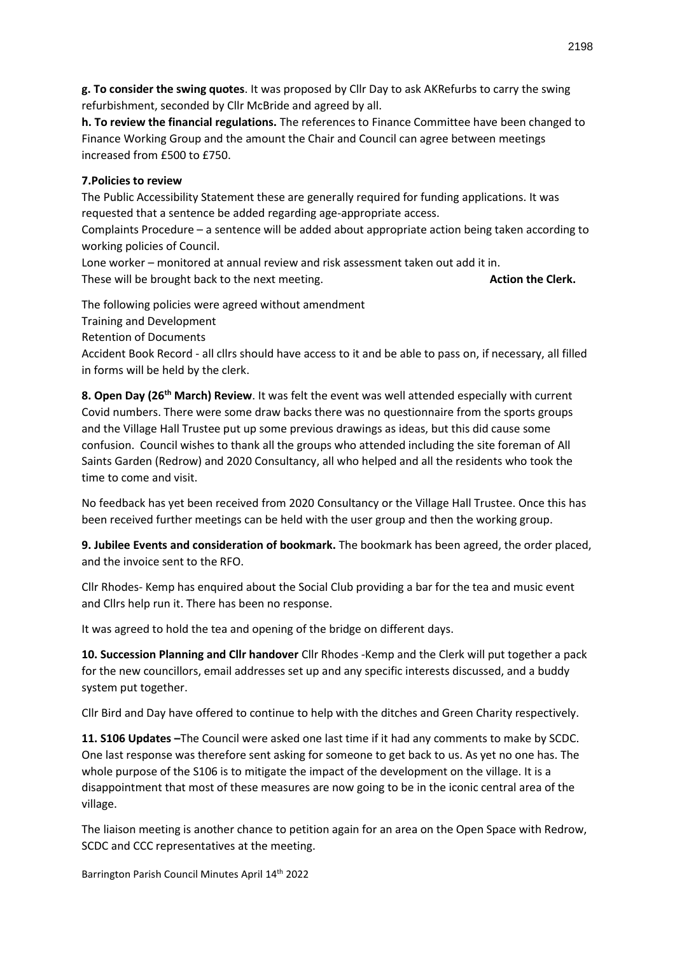**g. To consider the swing quotes**. It was proposed by Cllr Day to ask AKRefurbs to carry the swing refurbishment, seconded by Cllr McBride and agreed by all.

**h. To review the financial regulations.** The references to Finance Committee have been changed to Finance Working Group and the amount the Chair and Council can agree between meetings increased from £500 to £750.

## **7.Policies to review**

The Public Accessibility Statement these are generally required for funding applications. It was requested that a sentence be added regarding age-appropriate access.

Complaints Procedure – a sentence will be added about appropriate action being taken according to working policies of Council.

Lone worker – monitored at annual review and risk assessment taken out add it in. These will be brought back to the next meeting. **Action the Clerk. Action the Clerk. Action the Clerk.** 

The following policies were agreed without amendment

Training and Development

Retention of Documents

Accident Book Record - all cllrs should have access to it and be able to pass on, if necessary, all filled in forms will be held by the clerk.

**8. Open Day (26th March) Review**. It was felt the event was well attended especially with current Covid numbers. There were some draw backs there was no questionnaire from the sports groups and the Village Hall Trustee put up some previous drawings as ideas, but this did cause some confusion. Council wishes to thank all the groups who attended including the site foreman of All Saints Garden (Redrow) and 2020 Consultancy, all who helped and all the residents who took the time to come and visit.

No feedback has yet been received from 2020 Consultancy or the Village Hall Trustee. Once this has been received further meetings can be held with the user group and then the working group.

**9. Jubilee Events and consideration of bookmark.** The bookmark has been agreed, the order placed, and the invoice sent to the RFO.

Cllr Rhodes- Kemp has enquired about the Social Club providing a bar for the tea and music event and Cllrs help run it. There has been no response.

It was agreed to hold the tea and opening of the bridge on different days.

**10. Succession Planning and Cllr handover** Cllr Rhodes -Kemp and the Clerk will put together a pack for the new councillors, email addresses set up and any specific interests discussed, and a buddy system put together.

Cllr Bird and Day have offered to continue to help with the ditches and Green Charity respectively.

**11. S106 Updates –**The Council were asked one last time if it had any comments to make by SCDC. One last response was therefore sent asking for someone to get back to us. As yet no one has. The whole purpose of the S106 is to mitigate the impact of the development on the village. It is a disappointment that most of these measures are now going to be in the iconic central area of the village.

The liaison meeting is another chance to petition again for an area on the Open Space with Redrow, SCDC and CCC representatives at the meeting.

Barrington Parish Council Minutes April 14th 2022